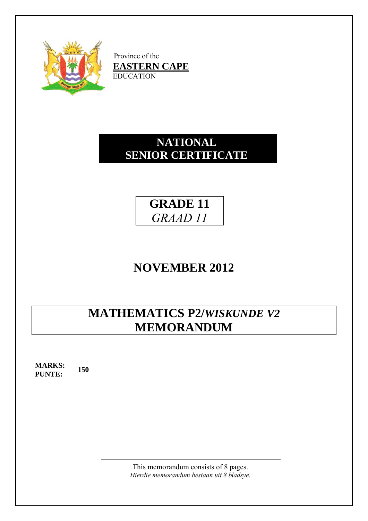

Province of the  $$ EDUC ATION

## **SENIOR CERTIFICATE NA ATION NAL**

## **GR RADE 1 11**  *GR RAAD 1 11*

# **NOVEMBER 2012**

# **M ATHE EMATI ICS P2 2/***WISK KUNDE V2* $MEMORANDUM$

**MARKS: PUNTE: 150**

> Hierdie memorandum bestaan uit 8 bladsye. This memorandum consists of 8 pages.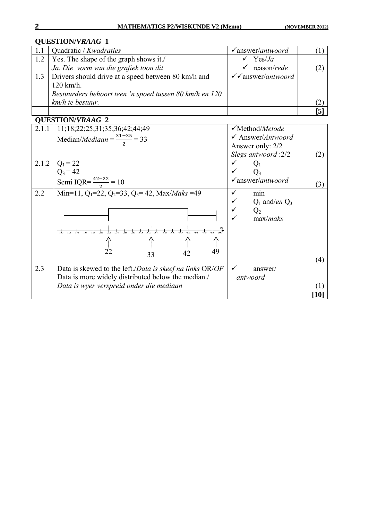|     | Quadratic / Kwadraties                                  | $\checkmark$ answer/ <i>antwoord</i> |                  |
|-----|---------------------------------------------------------|--------------------------------------|------------------|
| 1.2 | Yes. The shape of the graph shows it./                  | Yes/Ja                               |                  |
|     | Ja. Die vorm van die grafiek toon dit                   | $\checkmark$ reason/rede             |                  |
|     | 1.3 Drivers should drive at a speed between 80 km/h and | $\checkmark$ answer/antwoord         |                  |
|     | $120$ km/h.                                             |                                      |                  |
|     | Bestuurders behoort teen 'n spoed tussen 80 km/h en 120 |                                      |                  |
|     | km/h te bestuur.                                        |                                      |                  |
|     |                                                         |                                      | $\left[5\right]$ |

| 2.1.1 | 11;18;22;25;31;35;36;42;44;49                                                                                   | $\checkmark$ Method/ <i>Metode</i>   |      |
|-------|-----------------------------------------------------------------------------------------------------------------|--------------------------------------|------|
|       | Median/ <i>Mediaan</i> = $\frac{31+35}{2}$ = 33                                                                 | $\checkmark$ Answer/ <i>Antwoord</i> |      |
|       |                                                                                                                 | Answer only: 2/2                     |      |
|       |                                                                                                                 | Slegs antwoord :2/2                  | (2)  |
| 2.1.2 | $Q_1 = 22$                                                                                                      |                                      |      |
|       | $Q_3 = 42$                                                                                                      |                                      |      |
|       | Semi IQR= $\frac{42-22}{2}$ = 10                                                                                | $\checkmark$ answer/antwoord         | (3)  |
| 2.2   | Min=11, $Q_1$ =22, $Q_2$ =33, $Q_3$ =42, Max/ <i>Maks</i> =49                                                   | min                                  |      |
|       |                                                                                                                 | $Q_1$ and/ <i>en</i> $Q_3$           |      |
|       |                                                                                                                 | $Q_2$                                |      |
|       |                                                                                                                 | max/maks                             |      |
|       | $\frac{1}{18}$ $\frac{1}{20}$<br>$\frac{1}{26}$<br>$\frac{1}{28}$<br>$\overline{30}$<br>र्नेत<br>$\frac{1}{38}$ |                                      |      |
|       | 个                                                                                                               |                                      |      |
|       | $\overline{49}$<br>22                                                                                           |                                      |      |
|       | 42<br>33                                                                                                        |                                      | (4)  |
| 2.3   | Data is skewed to the left./ <i>Data is skeef na links</i> OR/ <i>OF</i>                                        | $\checkmark$<br>answer/              |      |
|       | Data is more widely distributed below the median./                                                              | antwoord                             |      |
|       | Data is wyer verspreid onder die mediaan                                                                        |                                      |      |
|       |                                                                                                                 |                                      | [10] |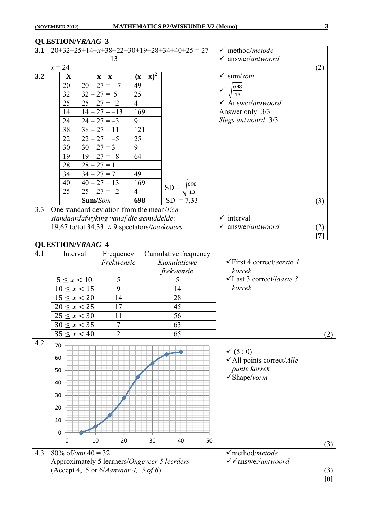#### **QUESTION/***VRAAG* **3 3.1**  $\left| \frac{20+32+25+14+x+38+22+30+19+28+34+40+25}{13} \right| = 27$  13  $x = 24$  method/*metode* answer/*antwoord* (2) **3.2**  $\mathbf{X} = \mathbf{X} - \mathbf{X}$   $(\mathbf{X} - \mathbf{X})^2$  $SD = \frac{698}{10}$ 13  $SD = 7.33$  $20 \mid 20 - 27 = -7 \mid 49$ 32  $|32 - 27 = 5$  | 25 25  $|25 - 27 = -2$  4  $14$  |  $14 - 27 = -13$  | 169 24  $\begin{vmatrix} 24 & -27 & -3 \end{vmatrix}$  9 38  $|38 - 27 = 11$  121 22  $|22 - 27 = -5$  25  $30 \mid 30 - 27 = 3 \mid 9$  $19 \mid 19 - 27 = -8$  64  $28 \mid 28 - 27 = 1 \mid 1$  $34$   $34 - 27 = 7$  49  $40 \overline{)}40 - 27 = 13 \overline{)}169$  $25 \quad 25 - 27 = -2 \quad 4$ **Sum/***Som* **698**  sum/*som*  $\overline{698}$  $13$  Answer/*antwoord* Answer only: 3/3 *Slegs antwoord*: 3/3 (3) 3.3 One standard deviation from the mean/*Een standaardafwyking vanaf die gemiddelde*: 19,67 to/tot 34,33  $\therefore$  9 spectators/*toeskouers*  $\checkmark$  interval answer/*antwoord* (2) **[7] QUESTION/***VRAAG* **4**  4.1 | Interval Frequency *Frekwensie*  Cumulative frequency *Kumulatiewe frekwensie*   $5 \le x < 10$  | 5 | 5  $10 \le x < 15$  9 14  $15 \le x < 20$  14 28  $20 \le x < 25$  17 45  $25 \le x \le 30$  11 56  $30 \le x < 35$  7 63  $35 \le x < 40$  2 65 First 4 correct/*eerste 4 korrek*  Last 3 correct/*laaste 3 korrek* (2) 4.2  $(5 : 0)$ All points correct/*Alle punte korrek*  Shape/*vorm* (3) 4.3 80% of/*van*  $40 = 32$ Approximately 5 learners/*Ongeveer 5 leerders* (Accept 4, 5 or 6/*Aanvaar 4, 5 of 6*) method/*metode* answer/*antwoord* (3) **[8]** 0 10 20 30 40 50 60 70 0 10 20 30 40 50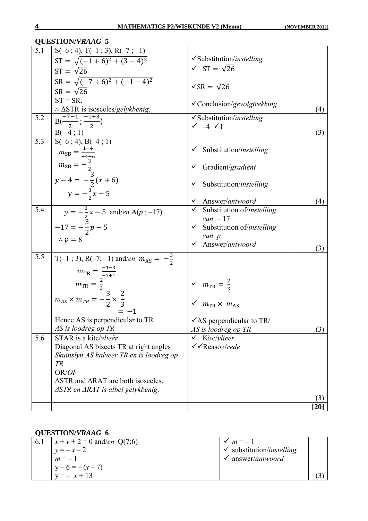| 5.1<br>$S(-6; 4), T(-1; 3), R(-7; -1)$<br>$\checkmark$ Substitution/instelling<br>$ST = \sqrt{(-1+6)^2 + (3-4)^2}$<br>$\sqrt{ST} = \sqrt{26}$<br>$ST = \sqrt{26}$<br>$SR = \sqrt{(-7 + 6)^2 + (-1 - 4)^2}$<br>$\sqrt{SR} = \sqrt{26}$<br>$SR = \sqrt{26}$<br>$ST = SR$ .<br>√Conclusion/gevolgtrekking<br>$\therefore$ $\triangle$ STR is isosceles/gelykbenig.<br>(4)<br>$B(\frac{-7-1}{2};\frac{-1+3}{2})$<br>5.2<br>$\checkmark$ Substitution/instelling<br>$\checkmark$ $-4$ $\checkmark$ 1<br>$B(-4; 1)$<br>(3)<br>$S(-6; 4), B(-4; 1)$<br>5.3<br>$\checkmark$ Substitution/instelling<br>$m_{SB} = \frac{1-4}{-4+6}$<br>$m_{SB} = -\frac{3}{2}$<br>$y - 4 = -\frac{3}{2}(x + 6)$<br>√ Gradient/gradiënt<br>Substitution/instelling<br>$y = -\frac{3}{3}x - 5$<br>$\checkmark$ Answer/antwoord<br>(4)<br>5.4<br>$\checkmark$ Substitution of/instelling<br>$y = -\frac{3}{2}x - 5$ and/en A(p; -17)<br>$van - 17$<br>$-17 = -\frac{3}{2}p - 5$<br>$\checkmark$ Substitution of/instelling<br>van p<br>$\therefore p = 8$<br>✔ Answer/antwoord<br>(3)<br>5.5<br>T(-1; 3), R(-7; -1) and/en $m_{AS} = -\frac{3}{2}$<br>$m_{\text{TR}} = \frac{-1-3}{-7+1}$<br>$m_{\text{TR}} = \frac{2}{3}$<br>$\sqrt{m_{TR}} = \frac{2}{3}$<br>$m_{AS} \times m_{TR} = -\frac{3}{2} \times \frac{2}{3}$<br>$\sqrt{m_{\text{TR}}}\times m_{\text{AG}}$<br>Hence AS is perpendicular to TR<br>$\checkmark$ AS perpendicular to TR/<br>AS is loodreg op TR<br>AS is loodreg op TR<br>(3)<br>STAR is a kite/vlieër<br>5.6<br>Kite/vlieër<br>✓<br>√ Reason/rede<br>Diagonal AS bisects TR at right angles<br>Skuinslyn AS halveer TR en is loodreg op<br>TR<br>OR/OF<br>$\Delta$ STR and $\Delta$ RAT are both isosceles.<br>$\triangle$ STR en $\triangle$ RAT is albei gelykbenig.<br>(3)<br>[20] | <b>QUESTION/VRAAG 5</b> |  |
|------------------------------------------------------------------------------------------------------------------------------------------------------------------------------------------------------------------------------------------------------------------------------------------------------------------------------------------------------------------------------------------------------------------------------------------------------------------------------------------------------------------------------------------------------------------------------------------------------------------------------------------------------------------------------------------------------------------------------------------------------------------------------------------------------------------------------------------------------------------------------------------------------------------------------------------------------------------------------------------------------------------------------------------------------------------------------------------------------------------------------------------------------------------------------------------------------------------------------------------------------------------------------------------------------------------------------------------------------------------------------------------------------------------------------------------------------------------------------------------------------------------------------------------------------------------------------------------------------------------------------------------------------------------------------------------------------------------------------------------------------------------------------------|-------------------------|--|
|                                                                                                                                                                                                                                                                                                                                                                                                                                                                                                                                                                                                                                                                                                                                                                                                                                                                                                                                                                                                                                                                                                                                                                                                                                                                                                                                                                                                                                                                                                                                                                                                                                                                                                                                                                                    |                         |  |
|                                                                                                                                                                                                                                                                                                                                                                                                                                                                                                                                                                                                                                                                                                                                                                                                                                                                                                                                                                                                                                                                                                                                                                                                                                                                                                                                                                                                                                                                                                                                                                                                                                                                                                                                                                                    |                         |  |
|                                                                                                                                                                                                                                                                                                                                                                                                                                                                                                                                                                                                                                                                                                                                                                                                                                                                                                                                                                                                                                                                                                                                                                                                                                                                                                                                                                                                                                                                                                                                                                                                                                                                                                                                                                                    |                         |  |
|                                                                                                                                                                                                                                                                                                                                                                                                                                                                                                                                                                                                                                                                                                                                                                                                                                                                                                                                                                                                                                                                                                                                                                                                                                                                                                                                                                                                                                                                                                                                                                                                                                                                                                                                                                                    |                         |  |
|                                                                                                                                                                                                                                                                                                                                                                                                                                                                                                                                                                                                                                                                                                                                                                                                                                                                                                                                                                                                                                                                                                                                                                                                                                                                                                                                                                                                                                                                                                                                                                                                                                                                                                                                                                                    |                         |  |
|                                                                                                                                                                                                                                                                                                                                                                                                                                                                                                                                                                                                                                                                                                                                                                                                                                                                                                                                                                                                                                                                                                                                                                                                                                                                                                                                                                                                                                                                                                                                                                                                                                                                                                                                                                                    |                         |  |
|                                                                                                                                                                                                                                                                                                                                                                                                                                                                                                                                                                                                                                                                                                                                                                                                                                                                                                                                                                                                                                                                                                                                                                                                                                                                                                                                                                                                                                                                                                                                                                                                                                                                                                                                                                                    |                         |  |
|                                                                                                                                                                                                                                                                                                                                                                                                                                                                                                                                                                                                                                                                                                                                                                                                                                                                                                                                                                                                                                                                                                                                                                                                                                                                                                                                                                                                                                                                                                                                                                                                                                                                                                                                                                                    |                         |  |
|                                                                                                                                                                                                                                                                                                                                                                                                                                                                                                                                                                                                                                                                                                                                                                                                                                                                                                                                                                                                                                                                                                                                                                                                                                                                                                                                                                                                                                                                                                                                                                                                                                                                                                                                                                                    |                         |  |
|                                                                                                                                                                                                                                                                                                                                                                                                                                                                                                                                                                                                                                                                                                                                                                                                                                                                                                                                                                                                                                                                                                                                                                                                                                                                                                                                                                                                                                                                                                                                                                                                                                                                                                                                                                                    |                         |  |
|                                                                                                                                                                                                                                                                                                                                                                                                                                                                                                                                                                                                                                                                                                                                                                                                                                                                                                                                                                                                                                                                                                                                                                                                                                                                                                                                                                                                                                                                                                                                                                                                                                                                                                                                                                                    |                         |  |
|                                                                                                                                                                                                                                                                                                                                                                                                                                                                                                                                                                                                                                                                                                                                                                                                                                                                                                                                                                                                                                                                                                                                                                                                                                                                                                                                                                                                                                                                                                                                                                                                                                                                                                                                                                                    |                         |  |
|                                                                                                                                                                                                                                                                                                                                                                                                                                                                                                                                                                                                                                                                                                                                                                                                                                                                                                                                                                                                                                                                                                                                                                                                                                                                                                                                                                                                                                                                                                                                                                                                                                                                                                                                                                                    |                         |  |
|                                                                                                                                                                                                                                                                                                                                                                                                                                                                                                                                                                                                                                                                                                                                                                                                                                                                                                                                                                                                                                                                                                                                                                                                                                                                                                                                                                                                                                                                                                                                                                                                                                                                                                                                                                                    |                         |  |
|                                                                                                                                                                                                                                                                                                                                                                                                                                                                                                                                                                                                                                                                                                                                                                                                                                                                                                                                                                                                                                                                                                                                                                                                                                                                                                                                                                                                                                                                                                                                                                                                                                                                                                                                                                                    |                         |  |
|                                                                                                                                                                                                                                                                                                                                                                                                                                                                                                                                                                                                                                                                                                                                                                                                                                                                                                                                                                                                                                                                                                                                                                                                                                                                                                                                                                                                                                                                                                                                                                                                                                                                                                                                                                                    |                         |  |
|                                                                                                                                                                                                                                                                                                                                                                                                                                                                                                                                                                                                                                                                                                                                                                                                                                                                                                                                                                                                                                                                                                                                                                                                                                                                                                                                                                                                                                                                                                                                                                                                                                                                                                                                                                                    |                         |  |

| 6.1 | $x + y + 2 = 0$ and/en Q(7;6) | $\mathsf{v}$ $m=-1$                  |  |
|-----|-------------------------------|--------------------------------------|--|
|     | $y = -x - 2$                  | $\checkmark$ substitution/instelling |  |
|     | $m = -1$                      | $\checkmark$ answer/ <i>antwoord</i> |  |
|     | $y-6 = -(x-7)$                |                                      |  |
|     | $y = -x + 13$                 |                                      |  |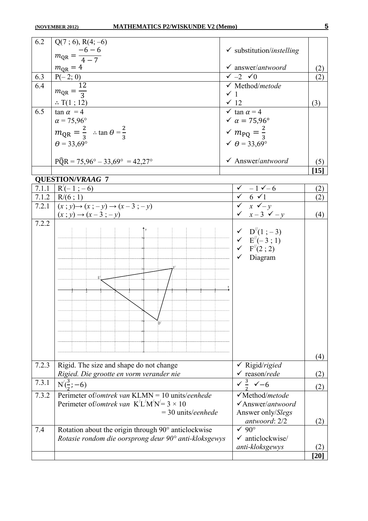| 6.2   | $Q(7; 6)$ , R(4; -6)                                                                                         |                                                                                                             |                    |
|-------|--------------------------------------------------------------------------------------------------------------|-------------------------------------------------------------------------------------------------------------|--------------------|
|       | $m_{QR} = \frac{-6 - 6}{4 - 7}$                                                                              | $\checkmark$ substitution/instelling                                                                        |                    |
|       |                                                                                                              | $\checkmark$ answer/antwoord                                                                                |                    |
| 6.3   | $m_{\text{QR}}=4$                                                                                            | $\checkmark$ -2 $\checkmark$ 0                                                                              | (2)<br>(2)         |
| 6.4   | $\frac{P(-2; 0)}{P(-2; 0)}$                                                                                  | $\checkmark$ Method/metode                                                                                  |                    |
|       | $m_{\text{QR}} = \frac{1}{3}$                                                                                | $\checkmark$ 1                                                                                              |                    |
|       | $\therefore$ T(1 ; 12)                                                                                       | $\times$ 12                                                                                                 | (3)                |
| 6.5   | $\tan \alpha = 4$                                                                                            | $\times$ tan $\alpha$ = 4                                                                                   |                    |
|       | $\alpha = 75,96^{\circ}$                                                                                     | $\sqrt{\alpha} = 75.96^{\circ}$                                                                             |                    |
|       | $m_{\text{QR}} = \frac{2}{3}$ : tan $\theta = \frac{2}{3}$                                                   | $\sqrt{m_{PQ}} = \frac{2}{3}$                                                                               |                    |
|       | $\theta$ = 33,69°                                                                                            | $\checkmark$ $\theta$ = 33,69°                                                                              |                    |
|       |                                                                                                              |                                                                                                             |                    |
|       | $P\widehat{Q}R = 75,96^{\circ} - 33,69^{\circ} = 42,27^{\circ}$                                              | $\checkmark$ Answer/antwoord                                                                                | (5)                |
|       |                                                                                                              |                                                                                                             | $[15]$             |
|       | <b>QUESTION/VRAAG 7</b>                                                                                      |                                                                                                             |                    |
| 7.1.1 | $R'(-1; -6)$                                                                                                 | $\sqrt{-1} - 1 - 6$                                                                                         | (2)                |
|       | 7.1.2   $R/(6; 1)$                                                                                           | $\begin{array}{cc}\n\sqrt{6} & 6 \\ \sqrt{1} & x \\ \sqrt{1} & x \\ \sqrt{1} & y\n\end{array}$              | (2)                |
|       | 7.2.1 $(x ; y) \rightarrow (x ; -y) \rightarrow (x-3 ; -y)$<br>$(x ; y) \rightarrow (x-3 ; -y)$              | $\checkmark$ $x-3$ $\checkmark$ $-y$                                                                        | (4)                |
| 7.2.2 |                                                                                                              |                                                                                                             |                    |
|       |                                                                                                              |                                                                                                             |                    |
|       |                                                                                                              | $\begin{array}{cc}\n\checkmark & D''(1;-3) \\ \checkmark & E''(-3;1) \\ \checkmark & F''(2;2)\n\end{array}$ |                    |
|       |                                                                                                              |                                                                                                             |                    |
|       |                                                                                                              | $\checkmark$ Diagram                                                                                        |                    |
|       |                                                                                                              |                                                                                                             |                    |
|       |                                                                                                              |                                                                                                             |                    |
|       |                                                                                                              |                                                                                                             |                    |
|       |                                                                                                              |                                                                                                             |                    |
|       |                                                                                                              |                                                                                                             |                    |
|       |                                                                                                              |                                                                                                             |                    |
|       |                                                                                                              |                                                                                                             |                    |
|       |                                                                                                              |                                                                                                             |                    |
|       |                                                                                                              |                                                                                                             |                    |
|       |                                                                                                              |                                                                                                             | (4)                |
| 7.2.3 | Rigid. The size and shape do not change                                                                      | $\checkmark$ Rigid/rigied                                                                                   |                    |
|       | Rigied. Die grootte en vorm verander nie                                                                     | $\checkmark$ reason/rede                                                                                    | (2)                |
| 7.3.1 | $N(\frac{3}{2}; -6)$                                                                                         | $\frac{3}{2}$ $\checkmark$ -6                                                                               | (2)                |
| 7.3.2 | Perimeter of/ <i>omtrek van</i> KLMN = 10 units/ <i>eenhede</i>                                              | √Method/metode                                                                                              |                    |
|       | Perimeter of/ <i>omtrek van</i> K <sup>'</sup> L <sup>'</sup> M <sup>'</sup> N <sup>'</sup> = 3 × 10         | √Answer/antwoord                                                                                            |                    |
|       | $=$ 30 units/eenhede                                                                                         | Answer only/Slegs                                                                                           |                    |
|       |                                                                                                              | antwoord: 2/2<br>$\sqrt{90^\circ}$                                                                          | (2)                |
| 7.4   | Rotation about the origin through 90° anticlockwise<br>Rotasie rondom die oorsprong deur 90° anti-kloksgewys | $\checkmark$ anticlockwise/                                                                                 |                    |
|       |                                                                                                              | anti-kloksgewys                                                                                             | (2)                |
|       |                                                                                                              |                                                                                                             | $\left[ 20\right]$ |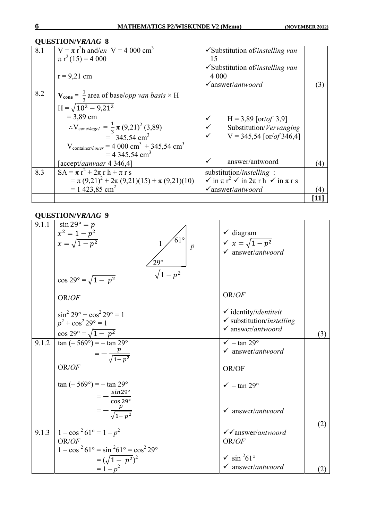|     | <b>QUESTION/VRAAG 8</b>                                                 |                                                                      |     |
|-----|-------------------------------------------------------------------------|----------------------------------------------------------------------|-----|
| 8.1 | $V = \pi r^2 h$ and/en V = 4 000 cm <sup>3</sup>                        | $\checkmark$ Substitution of/instelling van                          |     |
|     | $\pi r^2(15) = 4000$                                                    | 15                                                                   |     |
|     |                                                                         | $\checkmark$ Substitution of/instelling van                          |     |
|     | $r = 9,21$ cm                                                           | 4 0 0 0                                                              |     |
|     |                                                                         | $\checkmark$ answer/antwoord                                         | 3   |
| 8.2 | $V_{cone} = \frac{1}{2}$ area of base/ <i>opp van basis</i> × H         |                                                                      |     |
|     | $H = \sqrt{10^2 - 9.21^2}$                                              |                                                                      |     |
|     | $= 3,89$ cm                                                             | ✓<br>$H = 3,89$ [or/of 3,9]                                          |     |
|     | $\therefore$ V <sub>cone/kegel</sub> = $\frac{1}{3}\pi (9,21)^2 (3,89)$ | $\checkmark$<br>Substitution/Vervanging                              |     |
|     | $=$ 345,54 cm <sup>3</sup>                                              | $V = 345,54$ [or/of 346,4]                                           |     |
|     | $V_{\text{container/houer}} = 4000 \text{ cm}^3 + 345.54 \text{ cm}^3$  |                                                                      |     |
|     | $= 4.345,54 \text{ cm}^3$                                               |                                                                      |     |
|     | [accept/ <i>aanvaar</i> 4 346,4]                                        | answer/antwoord<br>$\checkmark$                                      | (4) |
| 8.3 | $SA = \pi r^2 + 2\pi r h + \pi r s$                                     | substitution/instelling:                                             |     |
|     | $= \pi (9,21)^{2} + 2\pi (9,21)(15) + \pi (9,21)(10)$                   | $\sqrt{2}$ in $\pi r^2 \sqrt{2}$ in $2\pi r h \sqrt{2}$ in $\pi r s$ |     |
|     | $= 1423.85$ cm <sup>2</sup>                                             | $\checkmark$ answer/antwoord                                         |     |
|     |                                                                         |                                                                      | [11 |

| 9.1.1              | $\sin 29^\circ = p$<br>$x^2 = 1 - p^2$<br>$61^{\circ}$<br>$x=\sqrt{1-p^2}$<br>$\boldsymbol{p}$<br>$29^\circ$<br>$\sqrt{1-p^2}$<br>$\cos 29^\circ = \sqrt{1 - p^2}$ | $\checkmark$ diagram<br>$\sqrt{x} = \sqrt{1 - p^2}$<br>$\checkmark$ answer/antwoord                              |     |
|--------------------|--------------------------------------------------------------------------------------------------------------------------------------------------------------------|------------------------------------------------------------------------------------------------------------------|-----|
|                    | OR/OF                                                                                                                                                              | OR/OF                                                                                                            |     |
|                    | $\sin^2 29^\circ + \cos^2 29^\circ = 1$<br>$p^2$ + $\cos^2 29^\circ = 1$<br>$\cos 29^\circ = \sqrt{1 - p^2}$                                                       | $\checkmark$ identity/ <i>identiteit</i><br>$\checkmark$ substitution/instelling<br>$\checkmark$ answer/antwoord | (3) |
| 9.1.2              | $\tan(-569^\circ) = -\tan 29^\circ$<br>$=-\frac{p}{\sqrt{1-p^2}}$                                                                                                  | $\sqrt{-\tan 29^\circ}$<br>$\checkmark$ answer/antwoord                                                          |     |
|                    | OR/OF                                                                                                                                                              | OR/OF                                                                                                            |     |
|                    | $\tan(-569^{\circ}) = -\tan 29^{\circ}$                                                                                                                            | $\sqrt{-\tan 29^\circ}$                                                                                          |     |
|                    | = $-\frac{\sin 29^{\circ}}{\cos 29^{\circ}}$<br>= $-\frac{p}{\sqrt{1-p^2}}$                                                                                        | $\checkmark$ answer/antwoord                                                                                     | (2) |
| $9.1.\overline{3}$ | $1 - \cos^2 61^\circ = 1 - p^2$                                                                                                                                    | $\checkmark$ answer/antwoord                                                                                     |     |
|                    | OR/OF<br>$1 - \cos^2 61^\circ = \sin^2 61^\circ = \cos^2 29^\circ$                                                                                                 | OR/OF                                                                                                            |     |
|                    | $=(\sqrt{1-p^2})^2$                                                                                                                                                | $\sqrt{\sin^2 61^\circ}$                                                                                         |     |
|                    | $= 1 - p^2$                                                                                                                                                        | $\checkmark$ answer/antwoord                                                                                     | (2) |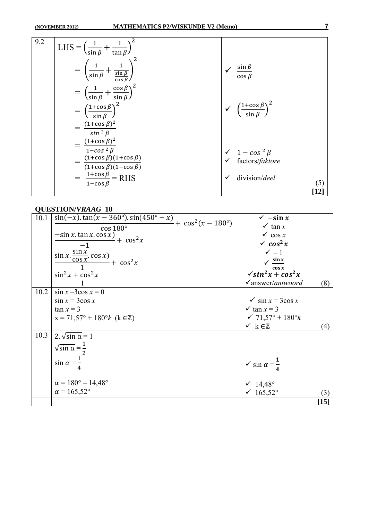| 9.2 | $LHS =$<br>$\tan \beta$<br>$\sin \beta$                                                            |                                                       |        |
|-----|----------------------------------------------------------------------------------------------------|-------------------------------------------------------|--------|
|     | $-+\frac{1}{\frac{\sin \beta}{\cos \beta}}$<br>$\sin \beta$                                        | $\frac{\sin \beta}{\beta}$<br>$\cos \beta$            |        |
|     | $=\left(\frac{1}{\sin\beta}+\frac{\cos\beta}{\sin\beta}\right)^2$                                  |                                                       |        |
|     | $\left(\frac{1+\cos\beta}{\sin\beta}\right)^2$                                                     | $\sqrt{\left(\frac{1+\cos\beta}{\sin\beta}\right)^2}$ |        |
|     | $(1+\cos \beta)^2$<br>$sin^2 \beta$<br>$=\frac{(1+\cos\beta)^2}{\sqrt{2}}$                         |                                                       |        |
|     | $1 - \cos^2 \beta$<br>$=$ $\frac{(1+\cos\beta)(1+\cos\beta)}{2}$<br>$(1+\cos \beta)(1-\cos \beta)$ | $\sqrt{1-cos^2\beta}$<br>factors/faktore              |        |
|     | $\frac{1+\cos\beta}{1+\cos\beta}$ = RHS<br>$1 - \cos \beta$                                        | division/deel                                         | (5)    |
|     |                                                                                                    |                                                       | $[12]$ |

| 10.1 | $\sin(-x) \cdot \tan(x - 360^{\circ}) \cdot \sin(450^{\circ} - x)$                             | $\checkmark$ -sin x                     |                    |
|------|------------------------------------------------------------------------------------------------|-----------------------------------------|--------------------|
|      | $+ \cos^2(x - 180^\circ)$<br>$\cos 180^\circ$                                                  | $\times$ tan x                          |                    |
|      | $-\sin x \cdot \tan x \cdot \cos x$                                                            | $\checkmark$ cos x                      |                    |
|      | + $\cos^2 x$<br>$-1$                                                                           | $\sqrt{\cos^2 x}$                       |                    |
|      |                                                                                                | $\checkmark$ - 1                        |                    |
|      | $\frac{\sin x \cdot \frac{\sin x}{\cos x} \cdot \cos x}{\cos x}$<br>$\frac{1}{\pi} + \cos^2 x$ | $\sqrt{\sin x}$                         |                    |
|      |                                                                                                | cos x                                   |                    |
|      | $\sin^2 x + \cos^2 x$                                                                          | $\sqrt{\sin^2 x + \cos^2 x}$            |                    |
|      |                                                                                                | $\checkmark$ answer/antwoord            | (8)                |
| 10.2 | $\sin x - 3\cos x = 0$                                                                         |                                         |                    |
|      | $\sin x = 3\cos x$                                                                             | $\checkmark$ sin $x = 3\cos x$          |                    |
|      | $\tan x = 3$                                                                                   | $\times$ tan $x = 3$                    |                    |
|      | $x = 71,57^{\circ} + 180^{\circ}k$ (k $\in \mathbb{Z}$ )                                       | $\sqrt{71,57^\circ + 180^\circ k}$      |                    |
|      |                                                                                                | $\times k \in \mathbb{Z}$               | (4)                |
| 10.3 | 2. $\sqrt{\sin \alpha} = 1$                                                                    |                                         |                    |
|      | $\sqrt{\sin \alpha} = \frac{1}{2}$                                                             |                                         |                    |
|      |                                                                                                |                                         |                    |
|      | $\sin \alpha = \frac{\pi}{4}$                                                                  | $\checkmark$ sin $\alpha = \frac{1}{2}$ |                    |
|      |                                                                                                |                                         |                    |
|      |                                                                                                |                                         |                    |
|      | $\alpha = 180^{\circ} - 14.48^{\circ}$                                                         | $\sqrt{14,48^{\circ}}$                  |                    |
|      | $\alpha = 165,52^{\circ}$                                                                      | √ 165,52°                               | (3)                |
|      |                                                                                                |                                         | $\left[ 15\right]$ |